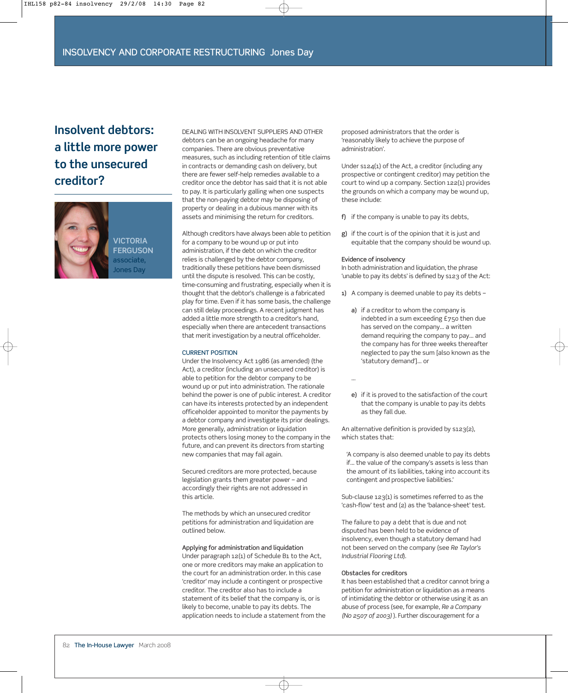# **Insolvent debtors: a little more power to the unsecured creditor?**



DEALING WITH INSOLVENT SUPPLIERS AND OTHER debtors can be an ongoing headache for many companies. There are obvious preventative measures, such as including retention of title claims in contracts or demanding cash on delivery, but there are fewer self-help remedies available to a creditor once the debtor has said that it is not able to pay. It is particularly galling when one suspects that the non-paying debtor may be disposing of property or dealing in a dubious manner with its assets and minimising the return for creditors.

Although creditors have always been able to petition for a company to be wound up or put into administration, if the debt on which the creditor relies is challenged by the debtor company, traditionally these petitions have been dismissed until the dispute is resolved. This can be costly, time-consuming and frustrating, especially when it is thought that the debtor's challenge is a fabricated play for time. Even if it has some basis, the challenge can still delay proceedings. A recent judgment has added a little more strength to a creditor's hand, especially when there are antecedent transactions that merit investigation by a neutral officeholder.

#### CURRENT POSITION

Under the Insolvency Act 1986 (as amended) (the Act), a creditor (including an unsecured creditor) is able to petition for the debtor company to be wound up or put into administration. The rationale behind the power is one of public interest. A creditor can have its interests protected by an independent officeholder appointed to monitor the payments by a debtor company and investigate its prior dealings. More generally, administration or liquidation protects others losing money to the company in the future, and can prevent its directors from starting new companies that may fail again.

Secured creditors are more protected, because legislation grants them greater power – and accordingly their rights are not addressed in this article.

The methods by which an unsecured creditor petitions for administration and liquidation are outlined below.

# Applying for administration and liquidation

Under paragraph 12(1) of Schedule B1 to the Act, one or more creditors may make an application to the court for an administration order. In this case 'creditor' may include a contingent or prospective creditor. The creditor also has to include a statement of its belief that the company is, or is likely to become, unable to pay its debts. The application needs to include a statement from the proposed administrators that the order is 'reasonably likely to achieve the purpose of administration'.

Under s124(1) of the Act, a creditor (including any prospective or contingent creditor) may petition the court to wind up a company. Section 122(1) provides the grounds on which a company may be wound up, these include:

- f) if the company is unable to pay its debts,
- g) if the court is of the opinion that it is just and equitable that the company should be wound up.

# Evidence of insolvency

In both administration and liquidation, the phrase 'unable to pay its debts' is defined by s123 of the Act:

- 1) A company is deemed unable to pay its debts
	- a) if a creditor to whom the company is indebted in a sum exceeding £750 then due has served on the company… a written demand requiring the company to pay… and the company has for three weeks thereafter neglected to pay the sum [also known as the 'statutory demand']… or

…

e) if it is proved to the satisfaction of the court that the company is unable to pay its debts as they fall due.

An alternative definition is provided by s123(2), which states that:

'A company is also deemed unable to pay its debts if… the value of the company's assets is less than the amount of its liabilities, taking into account its contingent and prospective liabilities.'

Sub-clause 123(1) is sometimes referred to as the 'cash-flow' test and (2) as the 'balance-sheet' test.

The failure to pay a debt that is due and not disputed has been held to be evidence of insolvency, even though a statutory demand had not been served on the company (see *Re Taylor's Industrial Flooring Ltd*).

#### Obstacles for creditors

It has been established that a creditor cannot bring a petition for administration or liquidation as a means of intimidating the debtor or otherwise using it as an abuse of process (see, for example, *Re a Company (No 2507 of 2003)* ). Further discouragement for a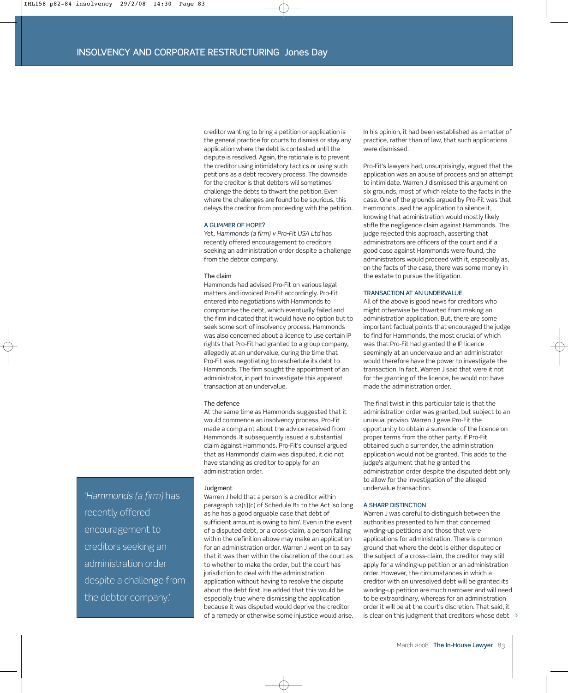creditor wanting to bring a petition or application is the general practice for courts to dismiss or stay any application where the debt is contested until the dispute is resolved. Again, the rationale is to prevent the creditor using intimidatory tactics or using such petitions as a debt recovery process. The downside for the creditor is that debtors will sometimes challenge the debts to thwart the petition. Even where the challenges are found to be spurious, this delays the creditor from proceeding with the petition.

# A GLIMMER OF HOPE?

Yet, *Hammonds (a firm) v Pro-Fit USA Ltd* has recently offered encouragement to creditors seeking an administration order despite a challenge from the debtor company.

#### The claim

Hammonds had advised Pro-Fit on various legal matters and invoiced Pro-Fit accordingly. Pro-Fit entered into negotiations with Hammonds to compromise the debt, which eventually failed and the firm indicated that it would have no option but to seek some sort of insolvency process. Hammonds was also concerned about a licence to use certain IP rights that Pro-Fit had granted to a group company, allegedly at an undervalue, during the time that Pro-Fit was negotiating to reschedule its debt to Hammonds. The firm sought the appointment of an administrator, in part to investigate this apparent transaction at an undervalue.

# The defence

At the same time as Hammonds suggested that it would commence an insolvency process, Pro-Fit made a complaint about the advice received from Hammonds. It subsequently issued a substantial claim against Hammonds. Pro-Fit's counsel argued that as Hammonds' claim was disputed, it did not have standing as creditor to apply for an administration order.

#### Judgment

Warren J held that a person is a creditor within paragraph 12(1)(c) of Schedule B1 to the Act 'so long as he has a good arguable case that debt of sufficient amount is owing to him'. Even in the event of a disputed debt, or a cross-claim, a person falling within the definition above may make an application for an administration order. Warren J went on to say that it was then within the discretion of the court as to whether to make the order, but the court has jurisdiction to deal with the administration application without having to resolve the dispute about the debt first. He added that this would be especially true where dismissing the application because it was disputed would deprive the creditor of a remedy or otherwise some injustice would arise.

In his opinion, it had been established as a matter of practice, rather than of law, that such applications were dismissed.

Pro-Fit's lawyers had, unsurprisingly, argued that the application was an abuse of process and an attempt to intimidate. Warren J dismissed this argument on six grounds, most of which relate to the facts in the case. One of the grounds argued by Pro-Fit was that Hammonds used the application to silence it, knowing that administration would mostly likely stifle the negligence claim against Hammonds. The judge rejected this approach, asserting that administrators are officers of the court and if a good case against Hammonds were found, the administrators would proceed with it, especially as, on the facts of the case, there was some money in the estate to pursue the litigation.

#### TRANSACTION AT AN UNDERVALUE

All of the above is good news for creditors who might otherwise be thwarted from making an administration application. But, there are some important factual points that encouraged the judge to find for Hammonds, the most crucial of which was that Pro-Fit had granted the IP licence seemingly at an undervalue and an administrator would therefore have the power to investigate the transaction. In fact, Warren J said that were it not for the granting of the licence, he would not have made the administration order.

The final twist in this particular tale is that the administration order was granted, but subject to an unusual proviso. Warren J gave Pro-Fit the opportunity to obtain a surrender of the licence on proper terms from the other party. If Pro-Fit obtained such a surrender, the administration application would not be granted. This adds to the judge's argument that he granted the administration order despite the disputed debt only to allow for the investigation of the alleged undervalue transaction.

# A SHARP DISTINCTION

Warren J was careful to distinguish between the authorities presented to him that concerned winding-up petitions and those that were applications for administration. There is common ground that where the debt is either disputed or the subject of a cross-claim, the creditor may still apply for a winding-up petition or an administration order. However, the circumstances in which a creditor with an unresolved debt will be granted its winding-up petition are much narrower and will need to be extraordinary, whereas for an administration order it will be at the court's discretion. That said, it is clear on this judgment that creditors whose debt >

'*Hammonds (a firm)* has recently offered encouragement to creditors seeking an administration order despite a challenge from the debtor company.'